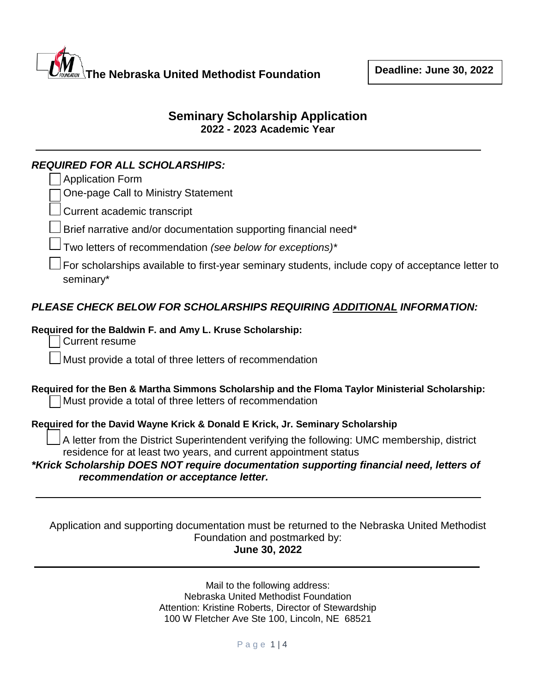

# **Seminary Scholarship Application 2022 - 2023 Academic Year**

#### *REQUIRED FOR ALL SCHOLARSHIPS:*  $\Box$  Application

| <b>Application Form</b>                                                                                                                                         |
|-----------------------------------------------------------------------------------------------------------------------------------------------------------------|
| One-page Call to Ministry Statement                                                                                                                             |
| Current academic transcript                                                                                                                                     |
| Brief narrative and/or documentation supporting financial need*                                                                                                 |
| Two letters of recommendation (see below for exceptions)*                                                                                                       |
| For scholarships available to first-year seminary students, include copy of acceptance letter to<br>seminary*                                                   |
| PLEASE CHECK BELOW FOR SCHOLARSHIPS REQUIRING ADDITIONAL INFORMATION:                                                                                           |
| Required for the Baldwin F. and Amy L. Kruse Scholarship:<br><b>Current resume</b>                                                                              |
| Must provide a total of three letters of recommendation                                                                                                         |
| Required for the Ben & Martha Simmons Scholarship and the Floma Taylor Ministerial Scholarship:<br>Must provide a total of three letters of recommendation      |
| Required for the David Wayne Krick & Donald E Krick, Jr. Seminary Scholarship                                                                                   |
| A letter from the District Superintendent verifying the following: UMC membership, district<br>residence for at least two years, and current appointment status |
| *Krick Scholarship DOES NOT require documentation supporting financial need, letters of<br>recommendation or acceptance letter.                                 |
|                                                                                                                                                                 |

Application and supporting documentation must be returned to the Nebraska United Methodist Foundation and postmarked by: **June 30, 2022**

> Mail to the following address: Nebraska United Methodist Foundation Attention: Kristine Roberts, Director of Stewardship 100 W Fletcher Ave Ste 100, Lincoln, NE 68521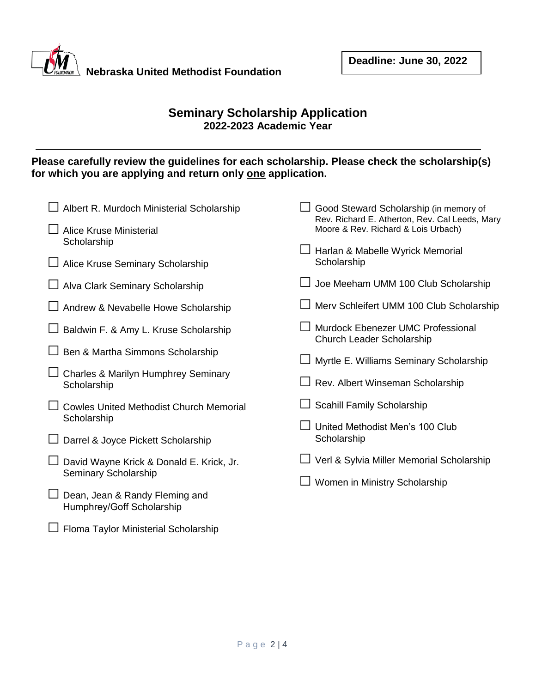

□ Floma Taylor Ministerial Scholarship

## **Seminary Scholarship Application 2022-2023 Academic Year**

## **Please carefully review the guidelines for each scholarship. Please check the scholarship(s)**  for which you are applying and return only one application.

| Albert R. Murdoch Ministerial Scholarship                     | Good Steward Scholarship (in memory of<br>Rev. Richard E. Atherton, Rev. Cal Leeds, Mary |
|---------------------------------------------------------------|------------------------------------------------------------------------------------------|
| Alice Kruse Ministerial                                       | Moore & Rev. Richard & Lois Urbach)                                                      |
| Scholarship                                                   | □ Harlan & Mabelle Wyrick Memorial                                                       |
| $\Box$ Alice Kruse Seminary Scholarship                       | Scholarship                                                                              |
| Alva Clark Seminary Scholarship                               | Joe Meeham UMM 100 Club Scholarship                                                      |
| Andrew & Nevabelle Howe Scholarship                           | Merv Schleifert UMM 100 Club Scholarship                                                 |
| Baldwin F. & Amy L. Kruse Scholarship                         | Murdock Ebenezer UMC Professional<br>Church Leader Scholarship                           |
| Ben & Martha Simmons Scholarship                              | Myrtle E. Williams Seminary Scholarship                                                  |
| <b>Charles &amp; Marilyn Humphrey Seminary</b><br>Scholarship | Rev. Albert Winseman Scholarship                                                         |
| <b>Cowles United Methodist Church Memorial</b>                | Scahill Family Scholarship                                                               |
| Scholarship                                                   | United Methodist Men's 100 Club                                                          |
| Darrel & Joyce Pickett Scholarship                            | Scholarship                                                                              |
| David Wayne Krick & Donald E. Krick, Jr.                      | Verl & Sylvia Miller Memorial Scholarship                                                |
| Seminary Scholarship                                          | Women in Ministry Scholarship                                                            |
| Dean, Jean & Randy Fleming and<br>Humphrey/Goff Scholarship   |                                                                                          |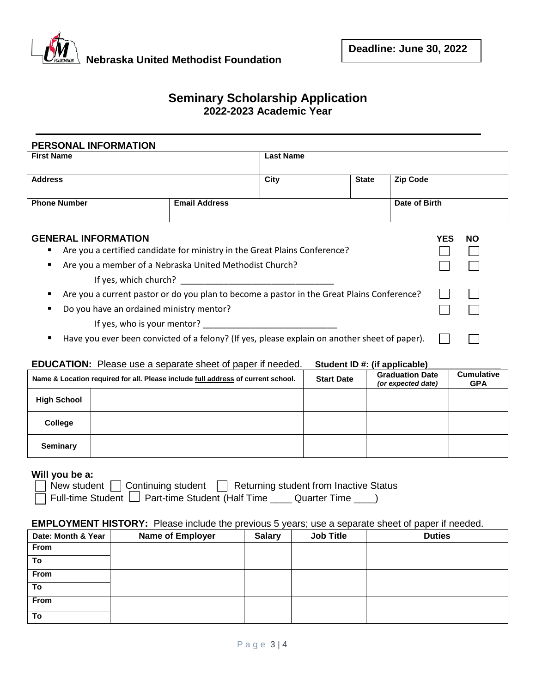

#### **Seminary Scholarship Application 2022-2023 Academic Year**

| PERSONAL INFORMATION                                                            |                                                                                            |                  |              |                   |
|---------------------------------------------------------------------------------|--------------------------------------------------------------------------------------------|------------------|--------------|-------------------|
| <b>First Name</b>                                                               |                                                                                            | <b>Last Name</b> |              |                   |
| <b>Address</b>                                                                  |                                                                                            | City             | <b>State</b> | <b>Zip Code</b>   |
| <b>Phone Number</b>                                                             | <b>Email Address</b>                                                                       |                  |              | Date of Birth     |
| <b>GENERAL INFORMATION</b>                                                      |                                                                                            |                  |              | <b>YES</b><br>NO. |
| Are you a certified candidate for ministry in the Great Plains Conference?<br>٠ |                                                                                            |                  |              |                   |
| Are you a member of a Nebraska United Methodist Church?<br>$\blacksquare$       |                                                                                            |                  |              |                   |
| If yes, which church?                                                           |                                                                                            |                  |              |                   |
| п                                                                               | Are you a current pastor or do you plan to become a pastor in the Great Plains Conference? |                  |              |                   |

- Do you have an ordained ministry mentor? If yes, who is your mentor?
- Have you ever been convicted of a felony? (If yes, please explain on another sheet of paper).

#### **EDUCATION:** Please use a separate sheet of paper if needed. **Student ID #: (if applicable)\_\_\_\_\_\_\_\_\_\_\_\_\_\_\_**

|                    | Name & Location required for all. Please include full address of current school. | <b>Start Date</b> | <b>Graduation Date</b><br>(or expected date) | <b>Cumulative</b><br><b>GPA</b> |
|--------------------|----------------------------------------------------------------------------------|-------------------|----------------------------------------------|---------------------------------|
| <b>High School</b> |                                                                                  |                   |                                              |                                 |
| College            |                                                                                  |                   |                                              |                                 |
| <b>Seminary</b>    |                                                                                  |                   |                                              |                                 |

#### **Will you be a:**

New student  $\Box$  Continuing student  $\Box$  Returning student from Inactive Status

Full-time Student  $\Box$  Part-time Student (Half Time  $\Box$  Quarter Time  $\Box$ )

#### **EMPLOYMENT HISTORY:** Please include the previous 5 years; use a separate sheet of paper if needed.

| Date: Month & Year | <b>Name of Employer</b> | <b>Salary</b> | <b>Job Title</b> | <b>Duties</b> |
|--------------------|-------------------------|---------------|------------------|---------------|
| From               |                         |               |                  |               |
| To                 |                         |               |                  |               |
| From               |                         |               |                  |               |
| To                 |                         |               |                  |               |
| From               |                         |               |                  |               |
| To                 |                         |               |                  |               |